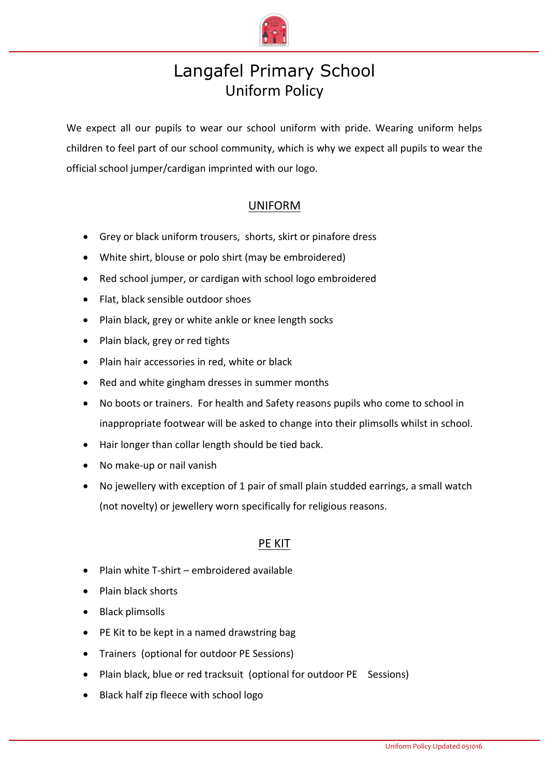

# Langafel Primary School Uniform Policy

We expect all our pupils to wear our school uniform with pride. Wearing uniform helps children to feel part of our school community, which is why we expect all pupils to wear the official school jumper/cardigan imprinted with our logo.

### UNIFORM

- Grey or black uniform trousers, shorts, skirt or pinafore dress
- White shirt, blouse or polo shirt (may be embroidered)
- Red school jumper, or cardigan with school logo embroidered
- Flat, black sensible outdoor shoes
- Plain black, grey or white ankle or knee length socks
- Plain black, grey or red tights
- Plain hair accessories in red, white or black
- Red and white gingham dresses in summer months
- No boots or trainers. For health and Safety reasons pupils who come to school in inappropriate footwear will be asked to change into their plimsolls whilst in school.
- Hair longer than collar length should be tied back.
- No make-up or nail vanish
- No jewellery with exception of 1 pair of small plain studded earrings, a small watch (not novelty) or jewellery worn specifically for religious reasons.

#### PE KIT

- Plain white T-shirt embroidered available
- Plain black shorts
- Black plimsolls
- PE Kit to be kept in a named drawstring bag
- Trainers (optional for outdoor PE Sessions)
- Plain black, blue or red tracksuit (optional for outdoor PE Sessions)
- Black half zip fleece with school logo